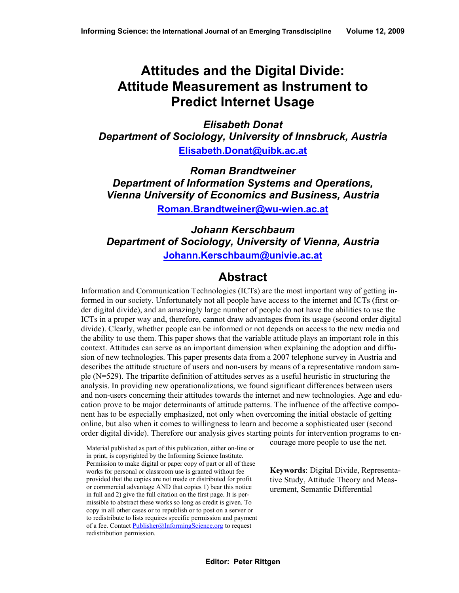# **Attitudes and the Digital Divide: Attitude Measurement as Instrument to Predict Internet Usage**

*Elisabeth Donat Department of Sociology, University of Innsbruck, Austria*  **[Elisabeth.Donat@uibk.ac.at](mailto:Elisabeth.Donat@uibk.ac.at)**

*Roman Brandtweiner Department of Information Systems and Operations, Vienna University of Economics and Business, Austria*  **[Roman.Brandtweiner@wu-wien.ac.at](mailto:Roman.Brandtweiner@wu-wien.ac.at)** 

*Johann Kerschbaum Department of Sociology, University of Vienna, Austria*  **[Johann.Kerschbaum@univie.ac.at](mailto:Johann.Kerschbaum@univie.ac.at)**

## **Abstract**

Information and Communication Technologies (ICTs) are the most important way of getting informed in our society. Unfortunately not all people have access to the internet and ICTs (first order digital divide), and an amazingly large number of people do not have the abilities to use the ICTs in a proper way and, therefore, cannot draw advantages from its usage (second order digital divide). Clearly, whether people can be informed or not depends on access to the new media and the ability to use them. This paper shows that the variable attitude plays an important role in this context. Attitudes can serve as an important dimension when explaining the adoption and diffusion of new technologies. This paper presents data from a 2007 telephone survey in Austria and describes the attitude structure of users and non-users by means of a representative random sample (N=529). The tripartite definition of attitudes serves as a useful heuristic in structuring the analysis. In providing new operationalizations, we found significant differences between users and non-users concerning their attitudes towards the internet and new technologies. Age and education prove to be major determinants of attitude patterns. The influence of the affective component has to be especially emphasized, not only when overcoming the initial obstacle of getting online, but also when it comes to willingness to learn and become a sophisticated user (second order digital divide). Therefore our analysis gives starting points for intervention programs to en-

courage more people to use the net.

**Keywords**: Digital Divide, Representative Study, Attitude Theory and Measurement, Semantic Differential

Material published as part of this publication, either on-line or in print, is copyrighted by the Informing Science Institute. Permission to make digital or paper copy of part or all of these works for personal or classroom use is granted without fee provided that the copies are not made or distributed for profit or commercial advantage AND that copies 1) bear this notice in full and 2) give the full citation on the first page. It is permissible to abstract these works so long as credit is given. To copy in all other cases or to republish or to post on a server or to redistribute to lists requires specific permission and payment of a fee. Contact [Publisher@InformingScience.org](mailto:Publisher@InformingScience.org) to request redistribution permission.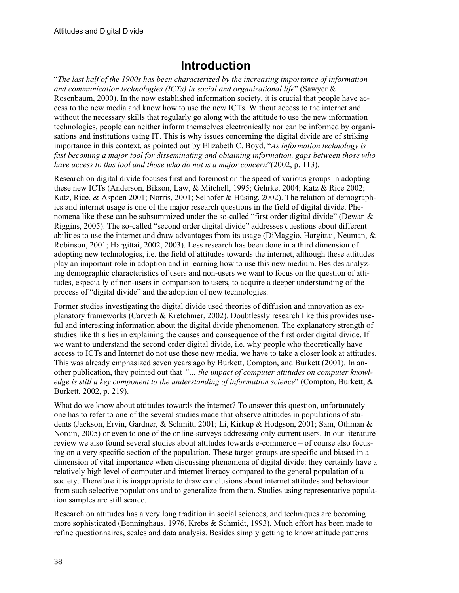## **Introduction**

"*The last half of the 1900s has been characterized by the increasing importance of information and communication technologies (ICTs) in social and organizational life*" (Sawyer & Rosenbaum, 2000). In the now established information society, it is crucial that people have access to the new media and know how to use the new ICTs. Without access to the internet and without the necessary skills that regularly go along with the attitude to use the new information technologies, people can neither inform themselves electronically nor can be informed by organisations and institutions using IT. This is why issues concerning the digital divide are of striking importance in this context, as pointed out by Elizabeth C. Boyd, "*As information technology is fast becoming a major tool for disseminating and obtaining information, gaps between those who have access to this tool and those who do not is a major concern*"(2002, p. 113).

Research on digital divide focuses first and foremost on the speed of various groups in adopting these new ICTs (Anderson, Bikson, Law, & Mitchell, 1995; Gehrke, 2004; Katz & Rice 2002; Katz, Rice, & Aspden 2001; Norris, 2001; Selhofer & Hüsing, 2002). The relation of demographics and internet usage is one of the major research questions in the field of digital divide. Phenomena like these can be subsummized under the so-called "first order digital divide" (Dewan & Riggins, 2005). The so-called "second order digital divide" addresses questions about different abilities to use the internet and draw advantages from its usage (DiMaggio, Hargittai, Neuman, & Robinson, 2001; Hargittai, 2002, 2003). Less research has been done in a third dimension of adopting new technologies, i.e. the field of attitudes towards the internet, although these attitudes play an important role in adoption and in learning how to use this new medium. Besides analyzing demographic characteristics of users and non-users we want to focus on the question of attitudes, especially of non-users in comparison to users, to acquire a deeper understanding of the process of "digital divide" and the adoption of new technologies.

Former studies investigating the digital divide used theories of diffusion and innovation as explanatory frameworks (Carveth & Kretchmer, 2002). Doubtlessly research like this provides useful and interesting information about the digital divide phenomenon. The explanatory strength of studies like this lies in explaining the causes and consequence of the first order digital divide. If we want to understand the second order digital divide, i.e. why people who theoretically have access to ICTs and Internet do not use these new media, we have to take a closer look at attitudes. This was already emphasized seven years ago by Burkett, Compton, and Burkett (2001). In another publication, they pointed out that *"… the impact of computer attitudes on computer knowledge is still a key component to the understanding of information science*" (Compton, Burkett, & Burkett, 2002, p. 219).

What do we know about attitudes towards the internet? To answer this question, unfortunately one has to refer to one of the several studies made that observe attitudes in populations of students (Jackson, Ervin, Gardner, & Schmitt, 2001; Li, Kirkup & Hodgson, 2001; Sam, Othman & Nordin, 2005) or even to one of the online-surveys addressing only current users. In our literature review we also found several studies about attitudes towards e-commerce – of course also focusing on a very specific section of the population. These target groups are specific and biased in a dimension of vital importance when discussing phenomena of digital divide: they certainly have a relatively high level of computer and internet literacy compared to the general population of a society. Therefore it is inappropriate to draw conclusions about internet attitudes and behaviour from such selective populations and to generalize from them. Studies using representative population samples are still scarce.

Research on attitudes has a very long tradition in social sciences, and techniques are becoming more sophisticated (Benninghaus, 1976, Krebs & Schmidt, 1993). Much effort has been made to refine questionnaires, scales and data analysis. Besides simply getting to know attitude patterns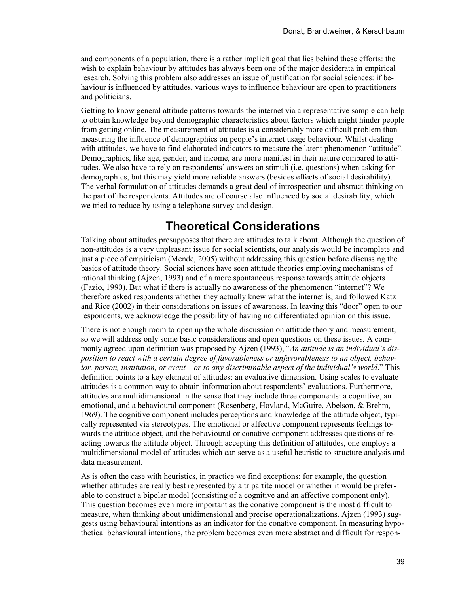and components of a population, there is a rather implicit goal that lies behind these efforts: the wish to explain behaviour by attitudes has always been one of the major desiderata in empirical research. Solving this problem also addresses an issue of justification for social sciences: if behaviour is influenced by attitudes, various ways to influence behaviour are open to practitioners and politicians.

Getting to know general attitude patterns towards the internet via a representative sample can help to obtain knowledge beyond demographic characteristics about factors which might hinder people from getting online. The measurement of attitudes is a considerably more difficult problem than measuring the influence of demographics on people's internet usage behaviour. Whilst dealing with attitudes, we have to find elaborated indicators to measure the latent phenomenon "attitude". Demographics, like age, gender, and income, are more manifest in their nature compared to attitudes. We also have to rely on respondents' answers on stimuli (i.e. questions) when asking for demographics, but this may yield more reliable answers (besides effects of social desirability). The verbal formulation of attitudes demands a great deal of introspection and abstract thinking on the part of the respondents. Attitudes are of course also influenced by social desirability, which we tried to reduce by using a telephone survey and design.

## **Theoretical Considerations**

Talking about attitudes presupposes that there are attitudes to talk about. Although the question of non-attitudes is a very unpleasant issue for social scientists, our analysis would be incomplete and just a piece of empiricism (Mende, 2005) without addressing this question before discussing the basics of attitude theory. Social sciences have seen attitude theories employing mechanisms of rational thinking (Ajzen, 1993) and of a more spontaneous response towards attitude objects (Fazio, 1990). But what if there is actually no awareness of the phenomenon "internet"? We therefore asked respondents whether they actually knew what the internet is, and followed Katz and Rice (2002) in their considerations on issues of awareness. In leaving this "door" open to our respondents, we acknowledge the possibility of having no differentiated opinion on this issue.

There is not enough room to open up the whole discussion on attitude theory and measurement, so we will address only some basic considerations and open questions on these issues. A commonly agreed upon definition was proposed by Ajzen (1993), "*An attitude is an individual's disposition to react with a certain degree of favorableness or unfavorableness to an object, behavior, person, institution, or event – or to any discriminable aspect of the individual's world*." This definition points to a key element of attitudes: an evaluative dimension. Using scales to evaluate attitudes is a common way to obtain information about respondents' evaluations. Furthermore, attitudes are multidimensional in the sense that they include three components: a cognitive, an emotional, and a behavioural component (Rosenberg, Hovland, McGuire, Abelson, & Brehm, 1969). The cognitive component includes perceptions and knowledge of the attitude object, typically represented via stereotypes. The emotional or affective component represents feelings towards the attitude object, and the behavioural or conative component addresses questions of reacting towards the attitude object. Through accepting this definition of attitudes, one employs a multidimensional model of attitudes which can serve as a useful heuristic to structure analysis and data measurement.

As is often the case with heuristics, in practice we find exceptions; for example, the question whether attitudes are really best represented by a tripartite model or whether it would be preferable to construct a bipolar model (consisting of a cognitive and an affective component only). This question becomes even more important as the conative component is the most difficult to measure, when thinking about unidimensional and precise operationalizations. Ajzen (1993) suggests using behavioural intentions as an indicator for the conative component. In measuring hypothetical behavioural intentions, the problem becomes even more abstract and difficult for respon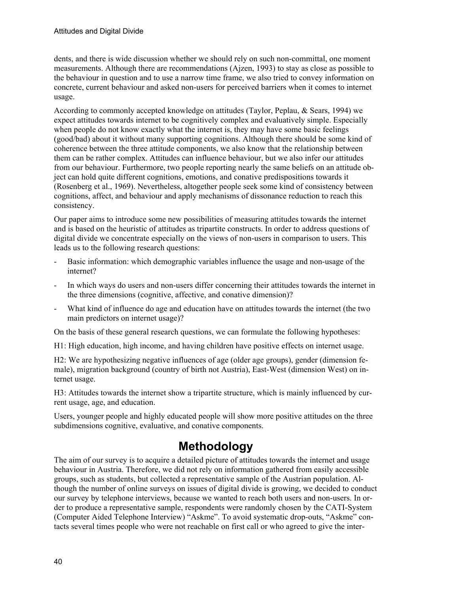dents, and there is wide discussion whether we should rely on such non-committal, one moment measurements. Although there are recommendations (Ajzen, 1993) to stay as close as possible to the behaviour in question and to use a narrow time frame, we also tried to convey information on concrete, current behaviour and asked non-users for perceived barriers when it comes to internet usage.

According to commonly accepted knowledge on attitudes (Taylor, Peplau, & Sears, 1994) we expect attitudes towards internet to be cognitively complex and evaluatively simple. Especially when people do not know exactly what the internet is, they may have some basic feelings (good/bad) about it without many supporting cognitions. Although there should be some kind of coherence between the three attitude components, we also know that the relationship between them can be rather complex. Attitudes can influence behaviour, but we also infer our attitudes from our behaviour. Furthermore, two people reporting nearly the same beliefs on an attitude object can hold quite different cognitions, emotions, and conative predispositions towards it (Rosenberg et al., 1969). Nevertheless, altogether people seek some kind of consistency between cognitions, affect, and behaviour and apply mechanisms of dissonance reduction to reach this consistency.

Our paper aims to introduce some new possibilities of measuring attitudes towards the internet and is based on the heuristic of attitudes as tripartite constructs. In order to address questions of digital divide we concentrate especially on the views of non-users in comparison to users. This leads us to the following research questions:

- Basic information: which demographic variables influence the usage and non-usage of the internet?
- In which ways do users and non-users differ concerning their attitudes towards the internet in the three dimensions (cognitive, affective, and conative dimension)?
- What kind of influence do age and education have on attitudes towards the internet (the two main predictors on internet usage)?

On the basis of these general research questions, we can formulate the following hypotheses:

H1: High education, high income, and having children have positive effects on internet usage.

H2: We are hypothesizing negative influences of age (older age groups), gender (dimension female), migration background (country of birth not Austria), East-West (dimension West) on internet usage.

H3: Attitudes towards the internet show a tripartite structure, which is mainly influenced by current usage, age, and education.

Users, younger people and highly educated people will show more positive attitudes on the three subdimensions cognitive, evaluative, and conative components.

## **Methodology**

The aim of our survey is to acquire a detailed picture of attitudes towards the internet and usage behaviour in Austria. Therefore, we did not rely on information gathered from easily accessible groups, such as students, but collected a representative sample of the Austrian population. Although the number of online surveys on issues of digital divide is growing, we decided to conduct our survey by telephone interviews, because we wanted to reach both users and non-users. In order to produce a representative sample, respondents were randomly chosen by the CATI-System (Computer Aided Telephone Interview) "Askme". To avoid systematic drop-outs, "Askme" contacts several times people who were not reachable on first call or who agreed to give the inter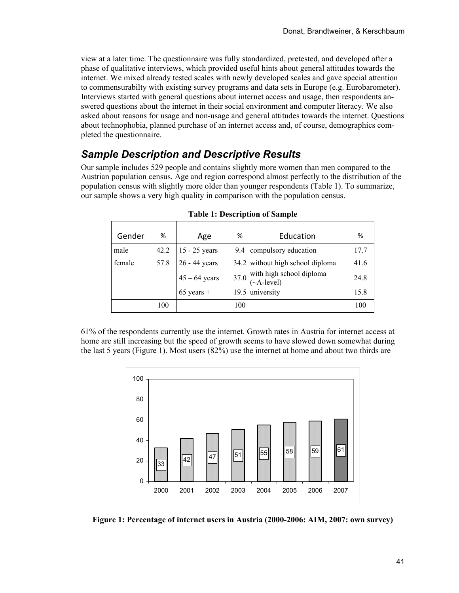view at a later time. The questionnaire was fully standardized, pretested, and developed after a phase of qualitative interviews, which provided useful hints about general attitudes towards the internet. We mixed already tested scales with newly developed scales and gave special attention to commensurabilty with existing survey programs and data sets in Europe (e.g. Eurobarometer). Interviews started with general questions about internet access and usage, then respondents answered questions about the internet in their social environment and computer literacy. We also asked about reasons for usage and non-usage and general attitudes towards the internet. Questions about technophobia, planned purchase of an internet access and, of course, demographics completed the questionnaire.

## *Sample Description and Descriptive Results*

Our sample includes 529 people and contains slightly more women than men compared to the Austrian population census. Age and region correspond almost perfectly to the distribution of the population census with slightly more older than younger respondents (Table 1). To summarize, our sample shows a very high quality in comparison with the population census.

| Gender | ℅    | Age                                | %   | Education                                          | ℅    |
|--------|------|------------------------------------|-----|----------------------------------------------------|------|
| male   | 42.2 |                                    |     | 9.4 compulsory education                           | 17.7 |
| female | 57.8 | $15 - 25$ years<br>$26 - 44$ years |     | 34.2 without high school diploma                   | 41.6 |
|        |      | $45 - 64$ years<br>65 years +      |     | 37.0 with high school diploma<br>( $\sim$ A-level) | 24.8 |
|        |      |                                    |     | 19.5 university                                    | 15.8 |
|        | 100  |                                    | 100 |                                                    | 100  |

|  |  | <b>Table 1: Description of Sample</b> |
|--|--|---------------------------------------|
|  |  |                                       |

61% of the respondents currently use the internet. Growth rates in Austria for internet access at home are still increasing but the speed of growth seems to have slowed down somewhat during the last 5 years (Figure 1). Most users (82%) use the internet at home and about two thirds are



**Figure 1: Percentage of internet users in Austria (2000-2006: AIM, 2007: own survey)**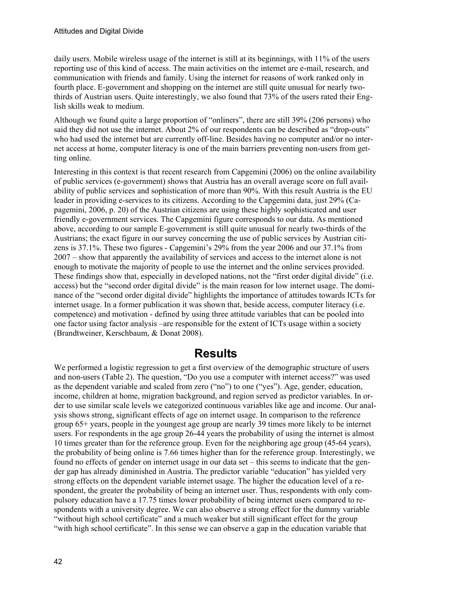daily users. Mobile wireless usage of the internet is still at its beginnings, with 11% of the users reporting use of this kind of access. The main activities on the internet are e-mail, research, and communication with friends and family. Using the internet for reasons of work ranked only in fourth place. E-government and shopping on the internet are still quite unusual for nearly twothirds of Austrian users. Quite interestingly, we also found that 73% of the users rated their English skills weak to medium.

Although we found quite a large proportion of "onliners", there are still 39% (206 persons) who said they did not use the internet. About 2% of our respondents can be described as "drop-outs" who had used the internet but are currently off-line. Besides having no computer and/or no internet access at home, computer literacy is one of the main barriers preventing non-users from getting online.

Interesting in this context is that recent research from Capgemini (2006) on the online availability of public services (e-government) shows that Austria has an overall average score on full availability of public services and sophistication of more than 90%. With this result Austria is the EU leader in providing e-services to its citizens. According to the Capgemini data, just 29% (Capagemini, 2006, p. 20) of the Austrian citizens are using these highly sophisticated and user friendly e-government services. The Capgemini figure corresponds to our data. As mentioned above, according to our sample E-government is still quite unusual for nearly two-thirds of the Austrians; the exact figure in our survey concerning the use of public services by Austrian citizens is 37.1%. These two figures - Capgemini's 29% from the year 2006 and our 37.1% from 2007 – show that apparently the availability of services and access to the internet alone is not enough to motivate the majority of people to use the internet and the online services provided. These findings show that, especially in developed nations, not the "first order digital divide" (i.e. access) but the "second order digital divide" is the main reason for low internet usage. The dominance of the "second order digital divide" highlights the importance of attitudes towards ICTs for internet usage. In a former publication it was shown that, beside access, computer literacy (i.e. competence) and motivation - defined by using three attitude variables that can be pooled into one factor using factor analysis –are responsible for the extent of ICTs usage within a society (Brandtweiner, Kerschbaum, & Donat 2008).

### **Results**

We performed a logistic regression to get a first overview of the demographic structure of users and non-users (Table 2). The question, "Do you use a computer with internet access?" was used as the dependent variable and scaled from zero ("no") to one ("yes"). Age, gender, education, income, children at home, migration background, and region served as predictor variables. In order to use similar scale levels we categorized continuous variables like age and income. Our analysis shows strong, significant effects of age on internet usage. In comparison to the reference group 65+ years, people in the youngest age group are nearly 39 times more likely to be internet users. For respondents in the age group 26-44 years the probability of using the internet is almost 10 times greater than for the reference group. Even for the neighboring age group (45-64 years), the probability of being online is 7.66 times higher than for the reference group. Interestingly, we found no effects of gender on internet usage in our data set – this seems to indicate that the gender gap has already diminished in Austria. The predictor variable "education" has yielded very strong effects on the dependent variable internet usage. The higher the education level of a respondent, the greater the probability of being an internet user. Thus, respondents with only compulsory education have a 17.75 times lower probability of being internet users compared to respondents with a university degree. We can also observe a strong effect for the dummy variable "without high school certificate" and a much weaker but still significant effect for the group "with high school certificate". In this sense we can observe a gap in the education variable that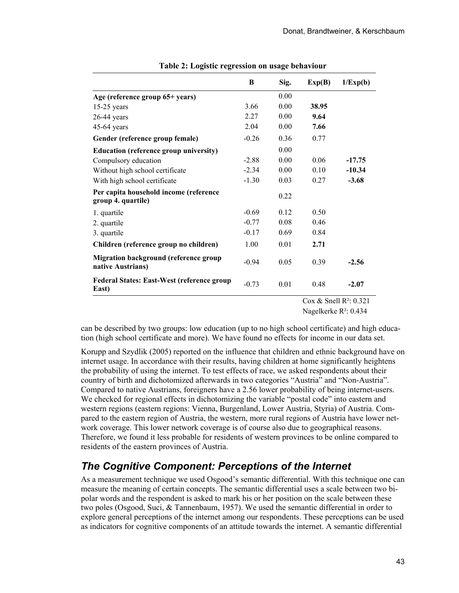|                                                              | B       | Sig. | Exp(B) | 1/Exp(b) |
|--------------------------------------------------------------|---------|------|--------|----------|
| Age (reference group 65+ years)                              |         | 0.00 |        |          |
| $15-25$ years                                                | 3.66    | 0.00 | 38.95  |          |
| $26-44$ years                                                | 2.27    | 0.00 | 9.64   |          |
| $45-64$ years                                                | 2.04    | 0.00 | 7.66   |          |
| Gender (reference group female)                              | $-0.26$ | 0.36 | 0.77   |          |
| <b>Education (reference group university)</b>                |         | 0.00 |        |          |
| Compulsory education                                         | $-2.88$ | 0.00 | 0.06   | $-17.75$ |
| Without high school certificate                              | $-2.34$ | 0.00 | 0.10   | $-10.34$ |
| With high school certificate                                 | $-1.30$ | 0.03 | 0.27   | $-3.68$  |
| Per capita household income (reference<br>group 4. quartile) |         | 0.22 |        |          |
| 1. quartile                                                  | $-0.69$ | 0.12 | 0.50   |          |
| 2. quartile                                                  | $-0.77$ | 0.08 | 0.46   |          |
| 3. quartile                                                  | $-0.17$ | 0.69 | 0.84   |          |
| Children (reference group no children)                       | 1.00    | 0.01 | 2.71   |          |
| Migration background (reference group<br>native Austrians)   | $-0.94$ | 0.05 | 0.39   | $-2.56$  |
| <b>Federal States: East-West (reference group)</b><br>East)  | $-0.73$ | 0.01 | 0.48   | $-2.07$  |

|  | Table 2: Logistic regression on usage behaviour |  |
|--|-------------------------------------------------|--|

 Cox & Snell R²: 0.321 Nagelkerke R²: 0.434

can be described by two groups: low education (up to no high school certificate) and high education (high school certificate and more). We have found no effects for income in our data set.

Korupp and Szydlik (2005) reported on the influence that children and ethnic background have on internet usage. In accordance with their results, having children at home significantly heightens the probability of using the internet. To test effects of race, we asked respondents about their country of birth and dichotomized afterwards in two categories "Austria" and "Non-Austria". Compared to native Austrians, foreigners have a 2.56 lower probability of being internet-users. We checked for regional effects in dichotomizing the variable "postal code" into eastern and western regions (eastern regions: Vienna, Burgenland, Lower Austria, Styria) of Austria. Compared to the eastern region of Austria, the western, more rural regions of Austria have lower network coverage. This lower network coverage is of course also due to geographical reasons. Therefore, we found it less probable for residents of western provinces to be online compared to residents of the eastern provinces of Austria.

### *The Cognitive Component: Perceptions of the Internet*

As a measurement technique we used Osgood's semantic differential. With this technique one can measure the meaning of certain concepts. The semantic differential uses a scale between two bipolar words and the respondent is asked to mark his or her position on the scale between these two poles (Osgood, Suci, & Tannenbaum, 1957). We used the semantic differential in order to explore general perceptions of the internet among our respondents. These perceptions can be used as indicators for cognitive components of an attitude towards the internet. A semantic differential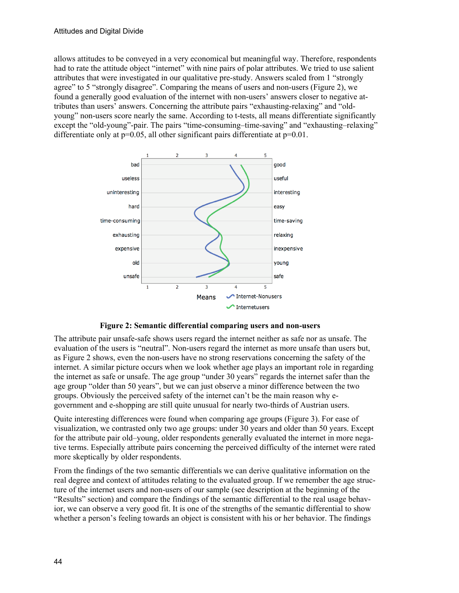allows attitudes to be conveyed in a very economical but meaningful way. Therefore, respondents had to rate the attitude object "internet" with nine pairs of polar attributes. We tried to use salient attributes that were investigated in our qualitative pre-study. Answers scaled from 1 "strongly agree" to 5 "strongly disagree". Comparing the means of users and non-users (Figure 2), we found a generally good evaluation of the internet with non-users' answers closer to negative attributes than users' answers. Concerning the attribute pairs "exhausting-relaxing" and "oldyoung" non-users score nearly the same. According to t-tests, all means differentiate significantly except the "old-young"-pair. The pairs "time-consuming–time-saving" and "exhausting–relaxing" differentiate only at  $p=0.05$ , all other significant pairs differentiate at  $p=0.01$ .



**Figure 2: Semantic differential comparing users and non-users** 

The attribute pair unsafe-safe shows users regard the internet neither as safe nor as unsafe. The evaluation of the users is "neutral". Non-users regard the internet as more unsafe than users but, as Figure 2 shows, even the non-users have no strong reservations concerning the safety of the internet. A similar picture occurs when we look whether age plays an important role in regarding the internet as safe or unsafe. The age group "under 30 years" regards the internet safer than the age group "older than 50 years", but we can just observe a minor difference between the two groups. Obviously the perceived safety of the internet can't be the main reason why egovernment and e-shopping are still quite unusual for nearly two-thirds of Austrian users.

Quite interesting differences were found when comparing age groups (Figure 3). For ease of visualization, we contrasted only two age groups: under 30 years and older than 50 years. Except for the attribute pair old–young, older respondents generally evaluated the internet in more negative terms. Especially attribute pairs concerning the perceived difficulty of the internet were rated more skeptically by older respondents.

From the findings of the two semantic differentials we can derive qualitative information on the real degree and context of attitudes relating to the evaluated group. If we remember the age structure of the internet users and non-users of our sample (see description at the beginning of the "Results" section) and compare the findings of the semantic differential to the real usage behavior, we can observe a very good fit. It is one of the strengths of the semantic differential to show whether a person's feeling towards an object is consistent with his or her behavior. The findings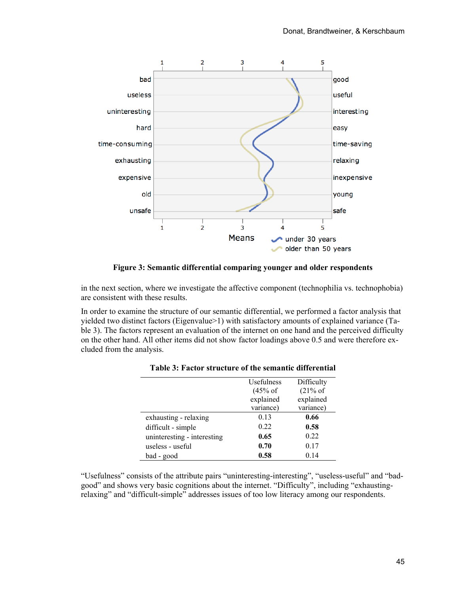

**Figure 3: Semantic differential comparing younger and older respondents**

in the next section, where we investigate the affective component (technophilia vs. technophobia) are consistent with these results.

In order to examine the structure of our semantic differential, we performed a factor analysis that yielded two distinct factors (Eigenvalue>1) with satisfactory amounts of explained variance (Table 3). The factors represent an evaluation of the internet on one hand and the perceived difficulty on the other hand. All other items did not show factor loadings above 0.5 and were therefore excluded from the analysis.

|                             | Usefulness         | Difficulty |
|-----------------------------|--------------------|------------|
|                             | $(45% \text{ of }$ | (21% of    |
|                             | explained          | explained  |
|                             | variance)          | variance)  |
| exhausting - relaxing       | 0.13               | 0.66       |
| difficult - simple          | 0.22               | 0.58       |
| uninteresting - interesting | 0.65               | 0.22       |
| useless - useful            | 0.70               | 0.17       |
| bad - good                  | 0.58               | 0.14       |

| Table 3: Factor structure of the semantic differential |  |
|--------------------------------------------------------|--|
|--------------------------------------------------------|--|

"Usefulness" consists of the attribute pairs "uninteresting-interesting", "useless-useful" and "badgood" and shows very basic cognitions about the internet. "Difficulty", including "exhaustingrelaxing" and "difficult-simple" addresses issues of too low literacy among our respondents.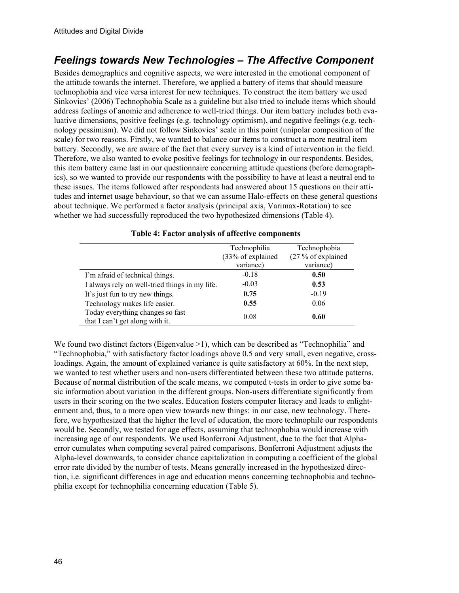### *Feelings towards New Technologies – The Affective Component*

Besides demographics and cognitive aspects, we were interested in the emotional component of the attitude towards the internet. Therefore, we applied a battery of items that should measure technophobia and vice versa interest for new techniques. To construct the item battery we used Sinkovics' (2006) Technophobia Scale as a guideline but also tried to include items which should address feelings of anomie and adherence to well-tried things. Our item battery includes both evaluative dimensions, positive feelings (e.g. technology optimism), and negative feelings (e.g. technology pessimism). We did not follow Sinkovics' scale in this point (unipolar composition of the scale) for two reasons. Firstly, we wanted to balance our items to construct a more neutral item battery. Secondly, we are aware of the fact that every survey is a kind of intervention in the field. Therefore, we also wanted to evoke positive feelings for technology in our respondents. Besides, this item battery came last in our questionnaire concerning attitude questions (before demographics), so we wanted to provide our respondents with the possibility to have at least a neutral end to these issues. The items followed after respondents had answered about 15 questions on their attitudes and internet usage behaviour, so that we can assume Halo-effects on these general questions about technique. We performed a factor analysis (principal axis, Varimax-Rotation) to see whether we had successfully reproduced the two hypothesized dimensions (Table 4).

|                                                                     | Technophilia<br>(33% of explained<br>variance) | Technophobia<br>$(27\%$ of explained<br>variance) |
|---------------------------------------------------------------------|------------------------------------------------|---------------------------------------------------|
| I'm afraid of technical things.                                     | $-0.18$                                        | 0.50                                              |
| I always rely on well-tried things in my life.                      | $-0.03$                                        | 0.53                                              |
| It's just fun to try new things.                                    | 0.75                                           | $-0.19$                                           |
| Technology makes life easier.                                       | 0.55                                           | 0.06                                              |
| Today everything changes so fast<br>that I can't get along with it. | 0.08                                           | 0.60                                              |

#### **Table 4: Factor analysis of affective components**

We found two distinct factors (Eigenvalue >1), which can be described as "Technophilia" and "Technophobia," with satisfactory factor loadings above 0.5 and very small, even negative, crossloadings. Again, the amount of explained variance is quite satisfactory at 60%. In the next step, we wanted to test whether users and non-users differentiated between these two attitude patterns. Because of normal distribution of the scale means, we computed t-tests in order to give some basic information about variation in the different groups. Non-users differentiate significantly from users in their scoring on the two scales. Education fosters computer literacy and leads to enlightenment and, thus, to a more open view towards new things: in our case, new technology. Therefore, we hypothesized that the higher the level of education, the more technophile our respondents would be. Secondly, we tested for age effects, assuming that technophobia would increase with increasing age of our respondents. We used Bonferroni Adjustment, due to the fact that Alphaerror cumulates when computing several paired comparisons. Bonferroni Adjustment adjusts the Alpha-level downwards, to consider chance capitalization in computing a coefficient of the global error rate divided by the number of tests. Means generally increased in the hypothesized direction, i.e. significant differences in age and education means concerning technophobia and technophilia except for technophilia concerning education (Table 5).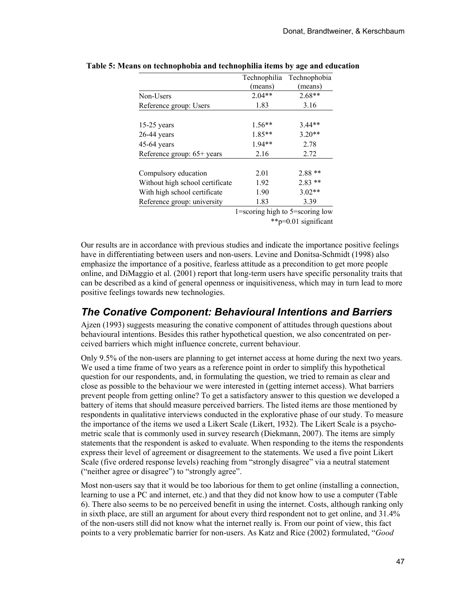|                                 | Technophilia<br>(means)                 | Technophobia<br>(means) |
|---------------------------------|-----------------------------------------|-------------------------|
| Non-Users                       | $2.04**$                                | $2.68**$                |
| Reference group: Users          | 1.83                                    | 3.16                    |
|                                 |                                         |                         |
| $15-25$ years                   | $1.56**$                                | $3.44**$                |
| $26-44$ years                   | 1.85**                                  | $3.20**$                |
| $45-64$ years                   | 1.94**                                  | 2.78                    |
| Reference group: 65+ years      | 2.16                                    | 2.72                    |
|                                 |                                         |                         |
| Compulsory education            | 2.01                                    | $2.88**$                |
| Without high school certificate | 1.92                                    | $2.83**$                |
| With high school certificate    | 1.90                                    | $3.02**$                |
| Reference group: university     | 1.83                                    | 3.39                    |
|                                 | $1 =$ scoring high to $5 =$ scoring low |                         |

**Table 5: Means on technophobia and technophilia items by age and education** 

1=scoring high to 5=scoring low \*\*p=0.01 significant

Our results are in accordance with previous studies and indicate the importance positive feelings have in differentiating between users and non-users. Levine and Donitsa-Schmidt (1998) also emphasize the importance of a positive, fearless attitude as a precondition to get more people online, and DiMaggio et al. (2001) report that long-term users have specific personality traits that can be described as a kind of general openness or inquisitiveness, which may in turn lead to more positive feelings towards new technologies.

### *The Conative Component: Behavioural Intentions and Barriers*

Ajzen (1993) suggests measuring the conative component of attitudes through questions about behavioural intentions. Besides this rather hypothetical question, we also concentrated on perceived barriers which might influence concrete, current behaviour.

Only 9.5% of the non-users are planning to get internet access at home during the next two years. We used a time frame of two years as a reference point in order to simplify this hypothetical question for our respondents, and, in formulating the question, we tried to remain as clear and close as possible to the behaviour we were interested in (getting internet access). What barriers prevent people from getting online? To get a satisfactory answer to this question we developed a battery of items that should measure perceived barriers. The listed items are those mentioned by respondents in qualitative interviews conducted in the explorative phase of our study. To measure the importance of the items we used a Likert Scale (Likert, 1932). The Likert Scale is a psychometric scale that is commonly used in survey research (Diekmann, 2007). The items are simply statements that the respondent is asked to evaluate. When responding to the items the respondents express their level of agreement or disagreement to the statements. We used a five point Likert Scale (five ordered response levels) reaching from "strongly disagree" via a neutral statement ("neither agree or disagree") to "strongly agree".

Most non-users say that it would be too laborious for them to get online (installing a connection, learning to use a PC and internet, etc.) and that they did not know how to use a computer (Table 6). There also seems to be no perceived benefit in using the internet. Costs, although ranking only in sixth place, are still an argument for about every third respondent not to get online, and 31.4% of the non-users still did not know what the internet really is. From our point of view, this fact points to a very problematic barrier for non-users. As Katz and Rice (2002) formulated, "*Good*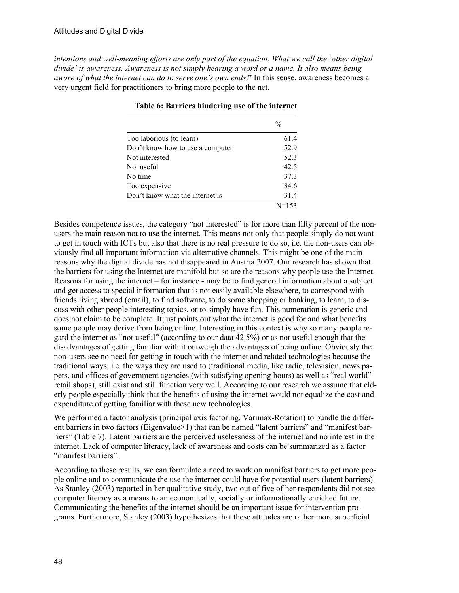*intentions and well-meaning efforts are only part of the equation. What we call the 'other digital divide' is awareness. Awareness is not simply hearing a word or a name. It also means being aware of what the internet can do to serve one's own ends*." In this sense, awareness becomes a very urgent field for practitioners to bring more people to the net.

|                                  | $\frac{0}{0}$ |
|----------------------------------|---------------|
| Too laborious (to learn)         | 61.4          |
| Don't know how to use a computer | 52.9          |
| Not interested                   | 52.3          |
| Not useful                       | 42.5          |
| No time                          | 37.3          |
| Too expensive                    | 34.6          |
| Don't know what the internet is  | 31.4          |
|                                  | $N=153$       |

**Table 6: Barriers hindering use of the internet** 

Besides competence issues, the category "not interested" is for more than fifty percent of the nonusers the main reason not to use the internet. This means not only that people simply do not want to get in touch with ICTs but also that there is no real pressure to do so, i.e. the non-users can obviously find all important information via alternative channels. This might be one of the main reasons why the digital divide has not disappeared in Austria 2007. Our research has shown that the barriers for using the Internet are manifold but so are the reasons why people use the Internet. Reasons for using the internet – for instance - may be to find general information about a subject and get access to special information that is not easily available elsewhere, to correspond with friends living abroad (email), to find software, to do some shopping or banking, to learn, to discuss with other people interesting topics, or to simply have fun. This numeration is generic and does not claim to be complete. It just points out what the internet is good for and what benefits some people may derive from being online. Interesting in this context is why so many people regard the internet as "not useful" (according to our data 42.5%) or as not useful enough that the disadvantages of getting familiar with it outweigh the advantages of being online. Obviously the non-users see no need for getting in touch with the internet and related technologies because the traditional ways, i.e. the ways they are used to (traditional media, like radio, television, news papers, and offices of government agencies (with satisfying opening hours) as well as "real world" retail shops), still exist and still function very well. According to our research we assume that elderly people especially think that the benefits of using the internet would not equalize the cost and expenditure of getting familiar with these new technologies.

We performed a factor analysis (principal axis factoring, Varimax-Rotation) to bundle the different barriers in two factors (Eigenvalue>1) that can be named "latent barriers" and "manifest barriers" (Table 7). Latent barriers are the perceived uselessness of the internet and no interest in the internet. Lack of computer literacy, lack of awareness and costs can be summarized as a factor "manifest barriers".

According to these results, we can formulate a need to work on manifest barriers to get more people online and to communicate the use the internet could have for potential users (latent barriers). As Stanley (2003) reported in her qualitative study, two out of five of her respondents did not see computer literacy as a means to an economically, socially or informationally enriched future. Communicating the benefits of the internet should be an important issue for intervention programs. Furthermore, Stanley (2003) hypothesizes that these attitudes are rather more superficial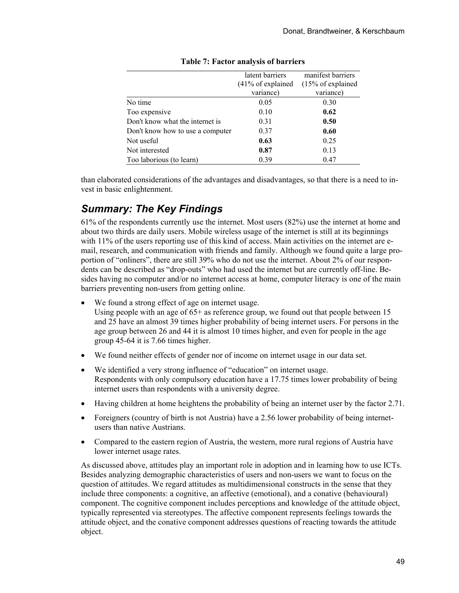|                                  | latent barriers               | manifest barriers |
|----------------------------------|-------------------------------|-------------------|
|                                  | $(41\% \text{ of explained})$ | (15% of explained |
|                                  | variance)                     | variance)         |
| No time                          | 0.05                          | 0.30              |
| Too expensive                    | 0.10                          | 0.62              |
| Don't know what the internet is  | 0.31                          | 0.50              |
| Don't know how to use a computer | 0.37                          | 0.60              |
| Not useful                       | 0.63                          | 0.25              |
| Not interested                   | 0.87                          | 0.13              |
| Too laborious (to learn)         | 0.39                          | 0.47              |

#### **Table 7: Factor analysis of barriers**

than elaborated considerations of the advantages and disadvantages, so that there is a need to invest in basic enlightenment.

### *Summary: The Key Findings*

61% of the respondents currently use the internet. Most users (82%) use the internet at home and about two thirds are daily users. Mobile wireless usage of the internet is still at its beginnings with 11% of the users reporting use of this kind of access. Main activities on the internet are email, research, and communication with friends and family. Although we found quite a large proportion of "onliners", there are still 39% who do not use the internet. About 2% of our respondents can be described as "drop-outs" who had used the internet but are currently off-line. Besides having no computer and/or no internet access at home, computer literacy is one of the main barriers preventing non-users from getting online.

• We found a strong effect of age on internet usage.

Using people with an age of  $65+$  as reference group, we found out that people between 15 and 25 have an almost 39 times higher probability of being internet users. For persons in the age group between 26 and 44 it is almost 10 times higher, and even for people in the age group 45-64 it is 7.66 times higher.

- We found neither effects of gender nor of income on internet usage in our data set.
- We identified a very strong influence of "education" on internet usage. Respondents with only compulsory education have a 17.75 times lower probability of being internet users than respondents with a university degree.
- Having children at home heightens the probability of being an internet user by the factor 2.71.
- Foreigners (country of birth is not Austria) have a 2.56 lower probability of being internetusers than native Austrians.
- Compared to the eastern region of Austria, the western, more rural regions of Austria have lower internet usage rates.

As discussed above, attitudes play an important role in adoption and in learning how to use ICTs. Besides analyzing demographic characteristics of users and non-users we want to focus on the question of attitudes. We regard attitudes as multidimensional constructs in the sense that they include three components: a cognitive, an affective (emotional), and a conative (behavioural) component. The cognitive component includes perceptions and knowledge of the attitude object, typically represented via stereotypes. The affective component represents feelings towards the attitude object, and the conative component addresses questions of reacting towards the attitude object.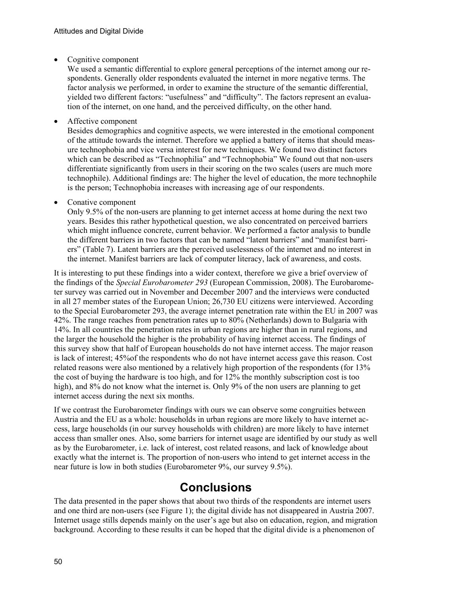Cognitive component

We used a semantic differential to explore general perceptions of the internet among our respondents. Generally older respondents evaluated the internet in more negative terms. The factor analysis we performed, in order to examine the structure of the semantic differential, yielded two different factors: "usefulness" and "difficulty". The factors represent an evaluation of the internet, on one hand, and the perceived difficulty, on the other hand.

• Affective component

Besides demographics and cognitive aspects, we were interested in the emotional component of the attitude towards the internet. Therefore we applied a battery of items that should measure technophobia and vice versa interest for new techniques. We found two distinct factors which can be described as "Technophilia" and "Technophobia" We found out that non-users differentiate significantly from users in their scoring on the two scales (users are much more technophile). Additional findings are: The higher the level of education, the more technophile is the person; Technophobia increases with increasing age of our respondents.

• Conative component

Only 9.5% of the non-users are planning to get internet access at home during the next two years. Besides this rather hypothetical question, we also concentrated on perceived barriers which might influence concrete, current behavior. We performed a factor analysis to bundle the different barriers in two factors that can be named "latent barriers" and "manifest barriers" (Table 7). Latent barriers are the perceived uselessness of the internet and no interest in the internet. Manifest barriers are lack of computer literacy, lack of awareness, and costs.

It is interesting to put these findings into a wider context, therefore we give a brief overview of the findings of the *Special Eurobarometer 293* (European Commission, 2008). The Eurobarometer survey was carried out in November and December 2007 and the interviews were conducted in all 27 member states of the European Union; 26,730 EU citizens were interviewed. According to the Special Eurobarometer 293, the average internet penetration rate within the EU in 2007 was 42%. The range reaches from penetration rates up to 80% (Netherlands) down to Bulgaria with 14%. In all countries the penetration rates in urban regions are higher than in rural regions, and the larger the household the higher is the probability of having internet access. The findings of this survey show that half of European households do not have internet access. The major reason is lack of interest; 45%of the respondents who do not have internet access gave this reason. Cost related reasons were also mentioned by a relatively high proportion of the respondents (for 13% the cost of buying the hardware is too high, and for 12% the monthly subscription cost is too high), and 8% do not know what the internet is. Only 9% of the non users are planning to get internet access during the next six months.

If we contrast the Eurobarometer findings with ours we can observe some congruities between Austria and the EU as a whole: households in urban regions are more likely to have internet access, large households (in our survey households with children) are more likely to have internet access than smaller ones. Also, some barriers for internet usage are identified by our study as well as by the Eurobarometer, i.e. lack of interest, cost related reasons, and lack of knowledge about exactly what the internet is. The proportion of non-users who intend to get internet access in the near future is low in both studies (Eurobarometer 9%, our survey 9.5%).

## **Conclusions**

The data presented in the paper shows that about two thirds of the respondents are internet users and one third are non-users (see Figure 1); the digital divide has not disappeared in Austria 2007. Internet usage stills depends mainly on the user's age but also on education, region, and migration background. According to these results it can be hoped that the digital divide is a phenomenon of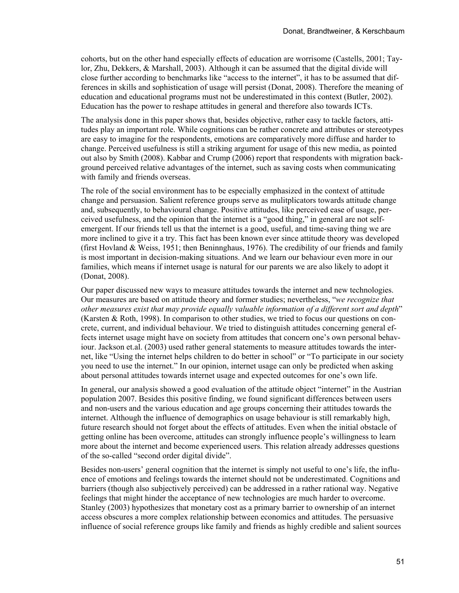cohorts, but on the other hand especially effects of education are worrisome (Castells, 2001; Taylor, Zhu, Dekkers, & Marshall, 2003). Although it can be assumed that the digital divide will close further according to benchmarks like "access to the internet", it has to be assumed that differences in skills and sophistication of usage will persist (Donat, 2008). Therefore the meaning of education and educational programs must not be underestimated in this context (Butler, 2002). Education has the power to reshape attitudes in general and therefore also towards ICTs.

The analysis done in this paper shows that, besides objective, rather easy to tackle factors, attitudes play an important role. While cognitions can be rather concrete and attributes or stereotypes are easy to imagine for the respondents, emotions are comparatively more diffuse and harder to change. Perceived usefulness is still a striking argument for usage of this new media, as pointed out also by Smith (2008). Kabbar and Crump (2006) report that respondents with migration background perceived relative advantages of the internet, such as saving costs when communicating with family and friends overseas.

The role of the social environment has to be especially emphasized in the context of attitude change and persuasion. Salient reference groups serve as mulitplicators towards attitude change and, subsequently, to behavioural change. Positive attitudes, like perceived ease of usage, perceived usefulness, and the opinion that the internet is a "good thing," in general are not selfemergent. If our friends tell us that the internet is a good, useful, and time-saving thing we are more inclined to give it a try. This fact has been known ever since attitude theory was developed (first Hovland & Weiss, 1951; then Beninnghaus, 1976). The credibility of our friends and family is most important in decision-making situations. And we learn our behaviour even more in our families, which means if internet usage is natural for our parents we are also likely to adopt it (Donat, 2008).

Our paper discussed new ways to measure attitudes towards the internet and new technologies. Our measures are based on attitude theory and former studies; nevertheless, "*we recognize that other measures exist that may provide equally valuable information of a different sort and depth*" (Karsten & Roth, 1998). In comparison to other studies, we tried to focus our questions on concrete, current, and individual behaviour. We tried to distinguish attitudes concerning general effects internet usage might have on society from attitudes that concern one's own personal behaviour. Jackson et.al. (2003) used rather general statements to measure attitudes towards the internet, like "Using the internet helps children to do better in school" or "To participate in our society you need to use the internet." In our opinion, internet usage can only be predicted when asking about personal attitudes towards internet usage and expected outcomes for one's own life.

In general, our analysis showed a good evaluation of the attitude object "internet" in the Austrian population 2007. Besides this positive finding, we found significant differences between users and non-users and the various education and age groups concerning their attitudes towards the internet. Although the influence of demographics on usage behaviour is still remarkably high, future research should not forget about the effects of attitudes. Even when the initial obstacle of getting online has been overcome, attitudes can strongly influence people's willingness to learn more about the internet and become experienced users. This relation already addresses questions of the so-called "second order digital divide".

Besides non-users' general cognition that the internet is simply not useful to one's life, the influence of emotions and feelings towards the internet should not be underestimated. Cognitions and barriers (though also subjectively perceived) can be addressed in a rather rational way. Negative feelings that might hinder the acceptance of new technologies are much harder to overcome. Stanley (2003) hypothesizes that monetary cost as a primary barrier to ownership of an internet access obscures a more complex relationship between economics and attitudes. The persuasive influence of social reference groups like family and friends as highly credible and salient sources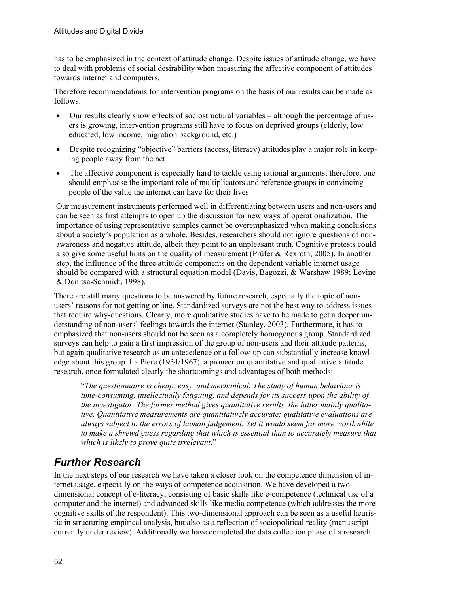has to be emphasized in the context of attitude change. Despite issues of attitude change, we have to deal with problems of social desirability when measuring the affective component of attitudes towards internet and computers.

Therefore recommendations for intervention programs on the basis of our results can be made as follows:

- Our results clearly show effects of sociostructural variables although the percentage of users is growing, intervention programs still have to focus on deprived groups (elderly, low educated, low income, migration background, etc.)
- Despite recognizing "objective" barriers (access, literacy) attitudes play a major role in keeping people away from the net
- The affective component is especially hard to tackle using rational arguments; therefore, one should emphasise the important role of multiplicators and reference groups in convincing people of the value the internet can have for their lives

Our measurement instruments performed well in differentiating between users and non-users and can be seen as first attempts to open up the discussion for new ways of operationalization. The importance of using representative samples cannot be overemphasized when making conclusions about a society's population as a whole. Besides, researchers should not ignore questions of nonawareness and negative attitude, albeit they point to an unpleasant truth. Cognitive pretests could also give some useful hints on the quality of measurement (Prüfer  $\&$  Rexroth, 2005). In another step, the influence of the three attitude components on the dependent variable internet usage should be compared with a structural equation model (Davis, Bagozzi, & Warshaw 1989; Levine & Donitsa-Schmidt, 1998).

There are still many questions to be answered by future research, especially the topic of nonusers' reasons for not getting online. Standardized surveys are not the best way to address issues that require why-questions. Clearly, more qualitative studies have to be made to get a deeper understanding of non-users' feelings towards the internet (Stanley, 2003). Furthermore, it has to emphasized that non-users should not be seen as a completely homogenous group. Standardized surveys can help to gain a first impression of the group of non-users and their attitude patterns, but again qualitative research as an antecedence or a follow-up can substantially increase knowledge about this group. La Piere (1934/1967), a pioneer on quantitative and qualitative attitude research, once formulated clearly the shortcomings and advantages of both methods:

"*The questionnaire is cheap, easy, and mechanical. The study of human behaviour is time-consuming, intellectually fatiguing, and depends for its success upon the ability of the investigator. The former method gives quantitative results, the latter mainly qualitative. Quantitative measurements are quantitatively accurate; qualitative evaluations are always subject to the errors of human judgement. Yet it would seem far more worthwhile to make a shrewd guess regarding that which is essential than to accurately measure that which is likely to prove quite irrelevant*."

### *Further Research*

In the next steps of our research we have taken a closer look on the competence dimension of internet usage, especially on the ways of competence acquisition. We have developed a twodimensional concept of e-literacy, consisting of basic skills like e-competence (technical use of a computer and the internet) and advanced skills like media competence (which addresses the more cognitive skills of the respondent). This two-dimensional approach can be seen as a useful heuristic in structuring empirical analysis, but also as a reflection of sociopolitical reality (manuscript currently under review). Additionally we have completed the data collection phase of a research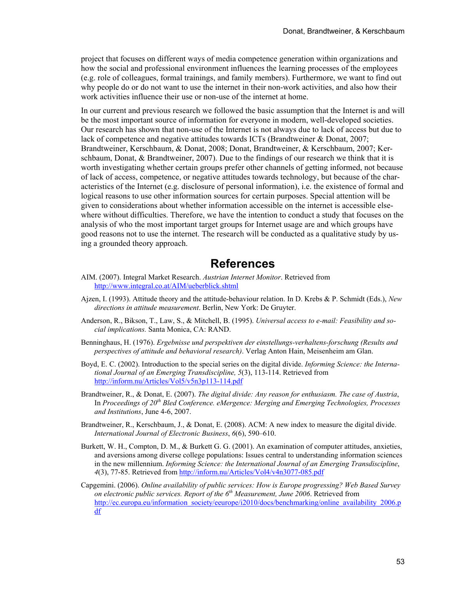project that focuses on different ways of media competence generation within organizations and how the social and professional environment influences the learning processes of the employees (e.g. role of colleagues, formal trainings, and family members). Furthermore, we want to find out why people do or do not want to use the internet in their non-work activities, and also how their work activities influence their use or non-use of the internet at home.

In our current and previous research we followed the basic assumption that the Internet is and will be the most important source of information for everyone in modern, well-developed societies. Our research has shown that non-use of the Internet is not always due to lack of access but due to lack of competence and negative attitudes towards ICTs (Brandtweiner & Donat, 2007; Brandtweiner, Kerschbaum, & Donat, 2008; Donat, Brandtweiner, & Kerschbaum, 2007; Kerschbaum, Donat, & Brandtweiner, 2007). Due to the findings of our research we think that it is worth investigating whether certain groups prefer other channels of getting informed, not because of lack of access, competence, or negative attitudes towards technology, but because of the characteristics of the Internet (e.g. disclosure of personal information), i.e. the existence of formal and logical reasons to use other information sources for certain purposes. Special attention will be given to considerations about whether information accessible on the internet is accessible elsewhere without difficulties. Therefore, we have the intention to conduct a study that focuses on the analysis of who the most important target groups for Internet usage are and which groups have good reasons not to use the internet. The research will be conducted as a qualitative study by using a grounded theory approach.

### **References**

- AIM. (2007). Integral Market Research. *Austrian Internet Monitor*. Retrieved from http://www.integral.co.at/AIM/ueberblick.shtml
- Ajzen, I. (1993). Attitude theory and the attitude-behaviour relation. In D. Krebs & P. Schmidt (Eds.), *New directions in attitude measurement*. Berlin, New York: De Gruyter.
- Anderson, R., Bikson, T., Law, S., & Mitchell, B. (1995). *Universal access to e-mail: Feasibility and social implications.* Santa Monica, CA: RAND.
- Benninghaus, H. (1976). *Ergebnisse und perspektiven der einstellungs-verhaltens-forschung (Results and perspectives of attitude and behavioral research)*. Verlag Anton Hain, Meisenheim am Glan.
- Boyd, E. C. (2002). Introduction to the special series on the digital divide. *Informing Science: the International Journal of an Emerging Transdiscipline, 5*(3), 113-114. Retrieved from <http://inform.nu/Articles/Vol5/v5n3p113-114.pdf>
- Brandtweiner, R., & Donat, E. (2007). *The digital divide: Any reason for enthusiasm. The case of Austria*, In *Proceedings of 20th Bled Conference. eMergence: Merging and Emerging Technologies, Processes and Institutions*, June 4-6, 2007.
- Brandtweiner, R., Kerschbaum, J., & Donat, E. (2008). ACM: A new index to measure the digital divide. *International Journal of Electronic Business*, *6*(6), 590–610.
- Burkett, W. H., Compton, D. M., & Burkett G. G. (2001). An examination of computer attitudes, anxieties, and aversions among diverse college populations: Issues central to understanding information sciences in the new millennium. *Informing Science: the International Journal of an Emerging Transdiscipline*, *4*(3), 77-85. Retrieved from<http://inform.nu/Articles/Vol4/v4n3077-085.pdf>
- Capgemini. (2006). *Online availability of public services: How is Europe progressing? Web Based Survey on electronic public services. Report of the 6th Measurement, June 2006*. Retrieved from [http://ec.europa.eu/information\\_society/eeurope/i2010/docs/benchmarking/online\\_availability\\_2006.p](http://ec.europa.eu/information_society/eeurope/i2010/docs/benchmarking/online_availability_2006.pdf) [df](http://ec.europa.eu/information_society/eeurope/i2010/docs/benchmarking/online_availability_2006.pdf)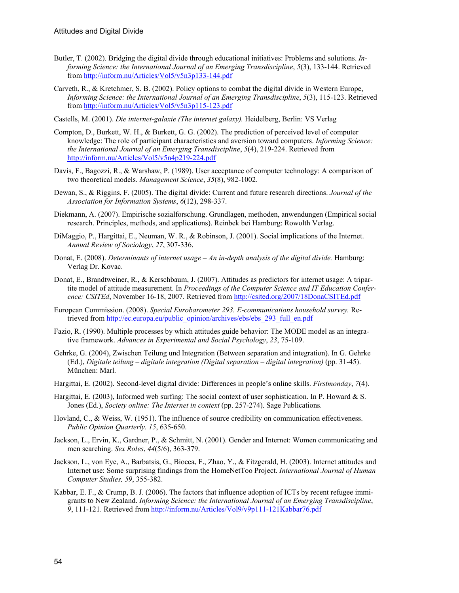- Butler, T. (2002). Bridging the digital divide through educational initiatives: Problems and solutions. *Informing Science: the International Journal of an Emerging Transdiscipline*, *5*(3), 133-144. Retrieved from <http://inform.nu/Articles/Vol5/v5n3p133-144.pdf>
- Carveth, R., & Kretchmer, S. B. (2002). Policy options to combat the digital divide in Western Europe, *Informing Science: the International Journal of an Emerging Transdiscipline*, *5*(3), 115-123. Retrieved from <http://inform.nu/Articles/Vol5/v5n3p115-123.pdf>
- Castells, M. (2001). *Die internet-galaxie (The internet galaxy).* Heidelberg, Berlin: VS Verlag
- Compton, D., Burkett, W. H., & Burkett, G. G. (2002). The prediction of perceived level of computer knowledge: The role of participant characteristics and aversion toward computers. *Informing Science: the International Journal of an Emerging Transdiscipline*, *5*(4), 219-224. Retrieved from <http://inform.nu/Articles/Vol5/v5n4p219-224.pdf>
- Davis, F., Bagozzi, R., & Warshaw, P. (1989). User acceptance of computer technology: A comparison of two theoretical models. *Management Science*, *35*(8), 982-1002.
- Dewan, S., & Riggins, F. (2005). The digital divide: Current and future research directions. *Journal of the Association for Information Systems*, *6*(12), 298-337.
- Diekmann, A. (2007). Empirische sozialforschung. Grundlagen, methoden, anwendungen (Empirical social research. Principles, methods, and applications). Reinbek bei Hamburg: Rowolth Verlag.
- DiMaggio, P., Hargittai, E., Neuman, W. R., & Robinson, J. (2001). Social implications of the Internet. *Annual Review of Sociology*, *27*, 307-336.
- Donat, E. (2008). *Determinants of internet usage An in-depth analysis of the digital divide.* Hamburg: Verlag Dr. Kovac.
- Donat, E., Brandtweiner, R., & Kerschbaum, J. (2007). Attitudes as predictors for internet usage: A tripartite model of attitude measurement. In *Proceedings of the Computer Science and IT Education Conference: CSITEd*, November 16-18, 2007. Retrieved from<http://csited.org/2007/18DonaCSITEd.pdf>
- European Commission. (2008). *Special Eurobarometer 293. E-communications household survey.* Retrieved from http://ec.europa.eu/public\_opinion/archives/ebs/ebs/293\_full\_en.pdf
- Fazio, R. (1990). Multiple processes by which attitudes guide behavior: The MODE model as an integrative framework. *Advances in Experimental and Social Psychology*, *23*, 75-109.
- Gehrke, G. (2004), Zwischen Teilung und Integration (Between separation and integration). In G. Gehrke (Ed.), *Digitale teilung – digitale integration (Digital separation – digital integration)* (pp. 31-45). München: Marl.
- Hargittai, E. (2002). Second-level digital divide: Differences in people's online skills. *Firstmonday*, *7*(4).
- Hargittai, E. (2003), Informed web surfing: The social context of user sophistication. In P. Howard & S. Jones (Ed.), *Society online: The Internet in context* (pp. 257-274). Sage Publications.
- Hovland, C., & Weiss, W. (1951). The influence of source credibility on communication effectiveness. *Public Opinion Quarterly. 15*, 635-650.
- Jackson, L., Ervin, K., Gardner, P., & Schmitt, N. (2001). Gender and Internet: Women communicating and men searching. *Sex Roles*, *44*(5/6), 363-379.
- Jackson, L., von Eye, A., Barbatsis, G., Biocca, F., Zhao, Y., & Fitzgerald, H. (2003). Internet attitudes and Internet use: Some surprising findings from the HomeNetToo Project. *International Journal of Human Computer Studies, 59*, 355-382.
- Kabbar, E. F., & Crump, B. J. (2006). The factors that influence adoption of ICTs by recent refugee immigrants to New Zealand. *Informing Science: the International Journal of an Emerging Transdiscipline*, *9*, 111-121. Retrieved from <http://inform.nu/Articles/Vol9/v9p111-121Kabbar76.pdf>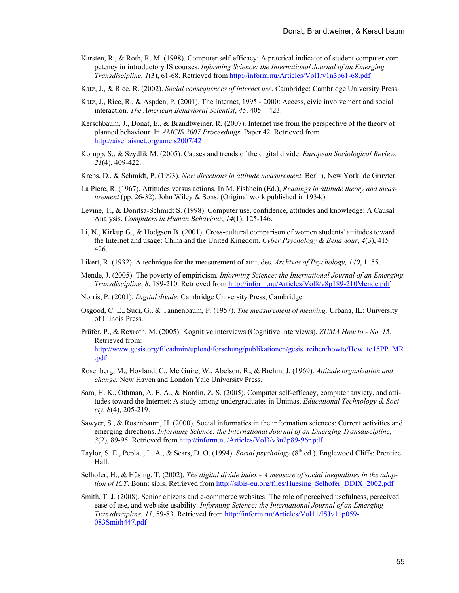- Karsten, R., & Roth, R. M. (1998). Computer self-efficacy: A practical indicator of student computer competency in introductory IS courses. *Informing Science: the International Journal of an Emerging Transdiscipline*, *1*(3), 61-68. Retrieved from<http://inform.nu/Articles/Vol1/v1n3p61-68.pdf>
- Katz, J., & Rice, R. (2002). *Social consequences of internet use*. Cambridge: Cambridge University Press.
- Katz, J., Rice, R., & Aspden, P. (2001). The Internet, 1995 2000: Access, civic involvement and social interaction. *The American Behavioral Scientist*, *45*, 405 – 423.
- Kerschbaum, J., Donat, E., & Brandtweiner, R. (2007). Internet use from the perspective of the theory of planned behaviour. In *AMCIS 2007 Proceedings*. Paper 42. Retrieved from <http://aisel.aisnet.org/amcis2007/42>
- Korupp, S., & Szydlik M. (2005). Causes and trends of the digital divide. *European Sociological Review*, *21*(4), 409-422.
- Krebs, D., & Schmidt, P. (1993). *New directions in attitude measurement*. Berlin, New York: de Gruyter.
- La Piere, R. (1967). Attitudes versus actions. In M. Fishbein (Ed.), *Readings in attitude theory and measurement* (pp. 26-32). John Wiley & Sons. (Original work published in 1934.)
- Levine, T., & Donitsa-Schmidt S. (1998). Computer use, confidence, attitudes and knowledge: A Causal Analysis. *Computers in Human Behaviour*, *14*(1), 125-146.
- Li, N., Kirkup G., & Hodgson B. (2001). Cross-cultural comparison of women students' attitudes toward the Internet and usage: China and the United Kingdom. *Cyber Psychology & Behaviour*, *4*(3), 415 – 426.
- Likert, R. (1932). A technique for the measurement of attitudes. *Archives of Psychology, 140*, 1–55.
- Mende, J. (2005). The poverty of empiricism. *Informing Science: the International Journal of an Emerging Transdiscipline*, *8*, 189-210. Retrieved from <http://inform.nu/Articles/Vol8/v8p189-210Mende.pdf>
- Norris, P. (2001). *Digital divide*. Cambridge University Press, Cambridge.
- Osgood, C. E., Suci, G., & Tannenbaum, P. (1957). *The measurement of meaning.* Urbana, IL: University of Illinois Press.
- Prüfer, P., & Rexroth, M. (2005). Kognitive interviews (Cognitive interviews). *ZUMA How to No. 15*. Retrieved from: http://www.gesis.org/fileadmin/upload/forschung/publikationen/gesis\_reihen/howto/How\_to15PP\_MR .pdf
- Rosenberg, M., Hovland, C., Mc Guire, W., Abelson, R., & Brehm, J. (1969). *Attitude organization and change.* New Haven and London Yale University Press.
- Sam, H. K., Othman, A. E. A., & Nordin, Z. S. (2005). Computer self-efficacy, computer anxiety, and attitudes toward the Internet: A study among undergraduates in Unimas. *Educational Technology & Society*, *8*(4), 205-219.
- Sawyer, S., & Rosenbaum, H. (2000). Social informatics in the information sciences: Current activities and emerging directions. *Informing Science: the International Journal of an Emerging Transdiscipline*, *3*(2), 89-95. Retrieved from<http://inform.nu/Articles/Vol3/v3n2p89-96r.pdf>
- Taylor, S. E., Peplau, L. A., & Sears, D. O. (1994). *Social psychology* (8<sup>th</sup> ed.). Englewood Cliffs: Prentice Hall.
- Selhofer, H., & Hüsing, T. (2002). *The digital divide index A measure of social inequalities in the adoption of ICT*. Bonn: sibis. Retrieved from http://sibis-eu.org/files/Huesing\_Selhofer\_DDIX\_2002.pdf
- Smith, T. J. (2008). Senior citizens and e-commerce websites: The role of perceived usefulness, perceived ease of use, and web site usability. *Informing Science: the International Journal of an Emerging Transdiscipline*, *11*, 59-83. Retrieved from [http://inform.nu/Articles/Vol11/ISJv11p059-](http://inform.nu/Articles/Vol11/ISJv11p059-083Smith447.pdf) [083Smith447.pdf](http://inform.nu/Articles/Vol11/ISJv11p059-083Smith447.pdf)